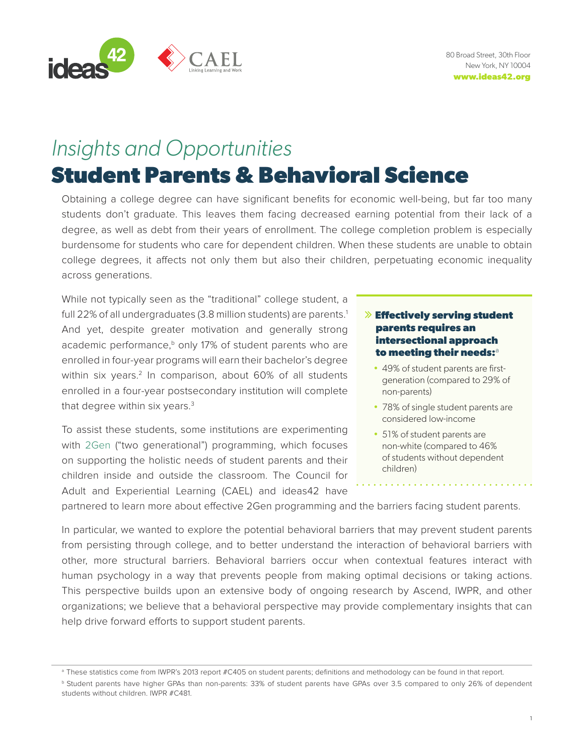<span id="page-0-0"></span>

# *Insights and Opportunities*

# **Student Parents & Behavioral Science**

Obtaining a college degree can have significant benefits for economic well-being, but far too many students don't graduate. This leaves them facing decreased earning potential from their lack of a degree, as well as debt from their years of enrollment. The college completion problem is especially burdensome for students who care for dependent children. When these students are unable to obtain college degrees, it affects not only them but also their children, perpetuating economic inequality across generations.

While not typically seen as the "traditional" college student, a full 22% of all undergraduates (3.8 million students) are parents.<sup>[1](#page-7-0)</sup> And yet, despite greater motivation and generally strong academic performance, $b$  only 17% of student parents who are enrolled in four-year programs will earn their bachelor's degree within six years.<sup>2</sup> In comparison, about 60% of all students enrolled in a four-year postsecondary institution will complete that degree within six years. $3$ 

To assist these students, some institutions are experimenting with [2Gen](https://ascend.aspeninstitute.org/two-generation/what-is-2gen/) ("two generational") programming, which focuses on supporting the holistic needs of student parents and their children inside and outside the classroom. The Council for Adult and Experiential Learning (CAEL) and ideas42 have

## **Effectively serving student parents requires an intersectional approach to meeting their needs:**<sup>a</sup>

- 49% of student parents are firstgeneration (compared to 29% of non-parents)
- 78% of single student parents are considered low-income
- 51% of student parents are non-white (compared to 46% of students without dependent children)

partnered to learn more about effective 2Gen programming and the barriers facing student parents.

In particular, we wanted to explore the potential behavioral barriers that may prevent student parents from persisting through college, and to better understand the interaction of behavioral barriers with other, more structural barriers. Behavioral barriers occur when contextual features interact with human psychology in a way that prevents people from making optimal decisions or taking actions. This perspective builds upon an extensive body of ongoing research by Ascend, IWPR, and other organizations; we believe that a behavioral perspective may provide complementary insights that can help drive forward efforts to support student parents.

<sup>&</sup>lt;sup>a</sup> These statistics come from IWPR's 2013 report #C405 on student parents; definitions and methodology can be found in that report.

<sup>b</sup> Student parents have higher GPAs than non-parents: 33% of student parents have GPAs over 3.5 compared to only 26% of dependent students without children. IWPR #C481.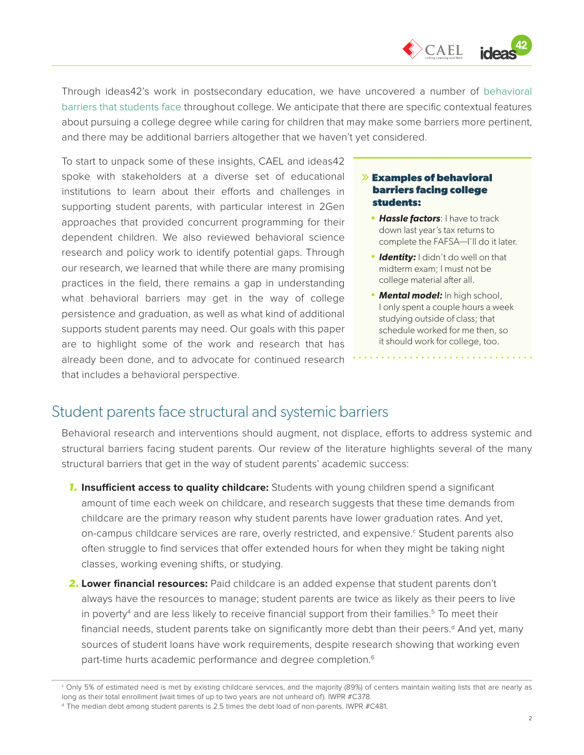$\Diamond$  CAEL

<span id="page-1-0"></span>Through ideas42's work in postsecondary education, we have uncovered a number of [behavioral](https://www.ideas42.org/wp-content/uploads/2016/09/Nudging-For-Success-FINAL.pdf) [barriers that students face](https://www.ideas42.org/wp-content/uploads/2016/09/Nudging-For-Success-FINAL.pdf) throughout college. We anticipate that there are specific contextual features about pursuing a college degree while caring for children that may make some barriers more pertinent, and there may be additional barriers altogether that we haven't yet considered.

To start to unpack some of these insights, CAEL and ideas42 spoke with stakeholders at a diverse set of educational institutions to learn about their efforts and challenges in supporting student parents, with particular interest in 2Gen approaches that provided concurrent programming for their dependent children. We also reviewed behavioral science research and policy work to identify potential gaps. Through our research, we learned that while there are many promising practices in the field, there remains a gap in understanding what behavioral barriers may get in the way of college persistence and graduation, as well as what kind of additional supports student parents may need. Our goals with this paper are to highlight some of the work and research that has already been done, and to advocate for continued research that includes a behavioral perspective.

### **Examples of behavioral barriers facing college students:**

- *• Hassle factors*: I have to track down last year's tax returns to complete the FAFSA—I'll do it later.
- *Identity:* I didn't do well on that midterm exam; I must not be college material after all.
- *Mental model:* In high school, I only spent a couple hours a week studying outside of class; that schedule worked for me then, so it should work for college, too.

# Student parents face structural and systemic barriers

Behavioral research and interventions should augment, not displace, efforts to address systemic and structural barriers facing student parents. Our review of the literature highlights several of the many structural barriers that get in the way of student parents' academic success:

- **1. Insufficient access to quality childcare:** Students with young children spend a significant amount of time each week on childcare, and research suggests that these time demands from childcare are the primary reason why student parents have lower graduation rates. And yet, on-campus childcare services are rare, overly restricted, and expensive.<sup>c</sup> Student parents also often struggle to find services that offer extended hours for when they might be taking night classes, working evening shifts, or studying.
- *2.* **Lower financial resources:** Paid childcare is an added expense that student parents don't always have the resources to manage; student parents are twice as likely as their peers to live in poverty<sup>[4](#page-7-0)</sup> and are less likely to receive financial support from their families.<sup>5</sup> To meet their financial needs, student parents take on significantly more debt than their peers.<sup>d</sup> And yet, many sources of student loans have work requirements, despite research showing that working even part-time hurts academic performance and degree completion.<sup>[6](#page-7-0)</sup>

<sup>c</sup> Only 5% of estimated need is met by existing childcare services, and the majority (89%) of centers maintain waiting lists that are nearly as long as their total enrollment (wait times of up to two years are not unheard of). IWPR #C378.

<sup>d</sup> The median debt among student parents is 2.5 times the debt load of non-parents. IWPR #C481.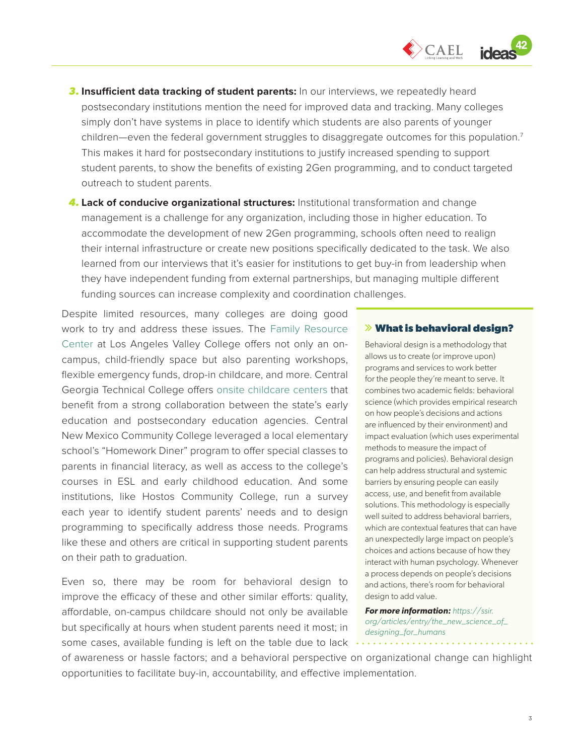

- <span id="page-2-0"></span>**3.** Insufficient data tracking of student parents: In our interviews, we repeatedly heard postsecondary institutions mention the need for improved data and tracking. Many colleges simply don't have systems in place to identify which students are also parents of younger children—even the federal government struggles to disaggregate outcomes for this population.<sup>[7](#page-7-0)</sup> This makes it hard for postsecondary institutions to justify increased spending to support student parents, to show the benefits of existing 2Gen programming, and to conduct targeted outreach to student parents.
- *4.* **Lack of conducive organizational structures:** Institutional transformation and change management is a challenge for any organization, including those in higher education. To accommodate the development of new 2Gen programming, schools often need to realign their internal infrastructure or create new positions specifically dedicated to the task. We also learned from our interviews that it's easier for institutions to get buy-in from leadership when they have independent funding from external partnerships, but managing multiple different funding sources can increase complexity and coordination challenges.

Despite limited resources, many colleges are doing good work to try and address these issues. The [Family Resource](http://lavcfamilyresourcecenter.org/)  [Center](http://lavcfamilyresourcecenter.org/) at Los Angeles Valley College offers not only an oncampus, child-friendly space but also parenting workshops, flexible emergency funds, drop-in childcare, and more. Central Georgia Technical College offers [onsite childcare centers](https://www.centralgatech.edu/childcare/warner-robins) that benefit from a strong collaboration between the state's early education and postsecondary education agencies. Central New Mexico Community College leveraged a local elementary school's "Homework Diner" program to offer special classes to parents in financial literacy, as well as access to the college's courses in ESL and early childhood education. And some institutions, like Hostos Community College, run a survey each year to identify student parents' needs and to design programming to specifically address those needs. Programs like these and others are critical in supporting student parents on their path to graduation.

Even so, there may be room for behavioral design to improve the efficacy of these and other similar efforts: quality, affordable, on-campus childcare should not only be available but specifically at hours when student parents need it most; in some cases, available funding is left on the table due to lack

#### **What is behavioral design?**

Behavioral design is a methodology that allows us to create (or improve upon) programs and services to work better for the people they're meant to serve. It combines two academic fields: behavioral science (which provides empirical research on how people's decisions and actions are influenced by their environment) and impact evaluation (which uses experimental methods to measure the impact of programs and policies). Behavioral design can help address structural and systemic barriers by ensuring people can easily access, use, and benefit from available solutions. This methodology is especially well suited to address behavioral barriers, which are contextual features that can have an unexpectedly large impact on people's choices and actions because of how they interact with human psychology. Whenever a process depends on people's decisions and actions, there's room for behavioral design to add value.

*For more information: [https://ssir.](https://ssir.org/articles/entry/the_new_science_of_designing_for_humans) [org/articles/entry/the\\_new\\_science\\_of\\_](https://ssir.org/articles/entry/the_new_science_of_designing_for_humans) [designing\\_for\\_humans](https://ssir.org/articles/entry/the_new_science_of_designing_for_humans)*

<u>. . . . . . . . . . . . . . .</u>

of awareness or hassle factors; and a behavioral perspective on organizational change can highlight opportunities to facilitate buy-in, accountability, and effective implementation.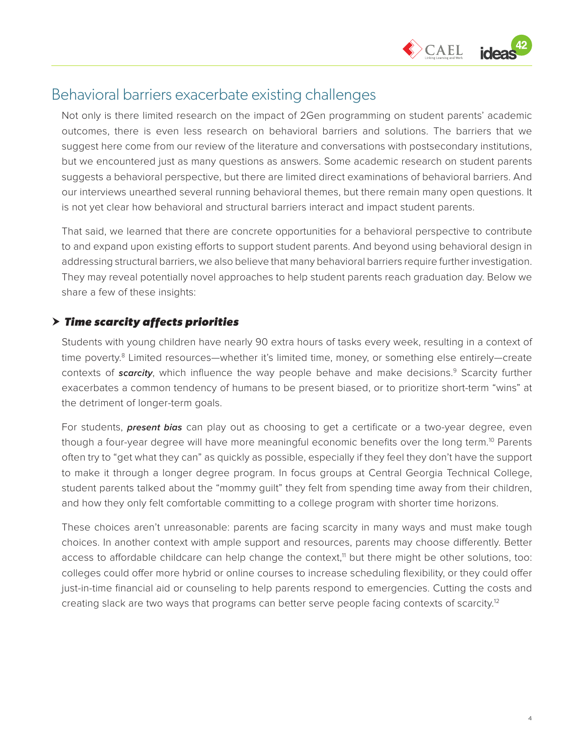

# <span id="page-3-0"></span>Behavioral barriers exacerbate existing challenges

Not only is there limited research on the impact of 2Gen programming on student parents' academic outcomes, there is even less research on behavioral barriers and solutions. The barriers that we suggest here come from our review of the literature and conversations with postsecondary institutions, but we encountered just as many questions as answers. Some academic research on student parents suggests a behavioral perspective, but there are limited direct examinations of behavioral barriers. And our interviews unearthed several running behavioral themes, but there remain many open questions. It is not yet clear how behavioral and structural barriers interact and impact student parents.

That said, we learned that there are concrete opportunities for a behavioral perspective to contribute to and expand upon existing efforts to support student parents. And beyond using behavioral design in addressing structural barriers, we also believe that many behavioral barriers require further investigation. They may reveal potentially novel approaches to help student parents reach graduation day. Below we share a few of these insights:

## *Time scarcity affects priorities*

Students with young children have nearly 90 extra hours of tasks every week, resulting in a context of time poverty.<sup>8</sup> Limited resources—whether it's limited time, money, or something else entirely—create contexts of *scarcity*, which influence the way people behave and make decisions.<sup>9</sup> Scarcity further exacerbates a common tendency of humans to be present biased, or to prioritize short-term "wins" at the detriment of longer-term goals.

For students, *present bias* can play out as choosing to get a certificate or a two-year degree, even though a four-year degree will have more meaningful economic benefits over the long term.<sup>10</sup> Parents often try to "get what they can" as quickly as possible, especially if they feel they don't have the support to make it through a longer degree program. In focus groups at Central Georgia Technical College, student parents talked about the "mommy guilt" they felt from spending time away from their children, and how they only felt comfortable committing to a college program with shorter time horizons.

These choices aren't unreasonable: parents are facing scarcity in many ways and must make tough choices. In another context with ample support and resources, parents may choose differently. Better access to affordable childcare can help change the context,<sup>11</sup> but there might be other solutions, too: colleges could offer more hybrid or online courses to increase scheduling flexibility, or they could offer just-in-time financial aid or counseling to help parents respond to emergencies. Cutting the costs and creating slack are two ways that programs can better serve people facing contexts of scarcity.<sup>12</sup>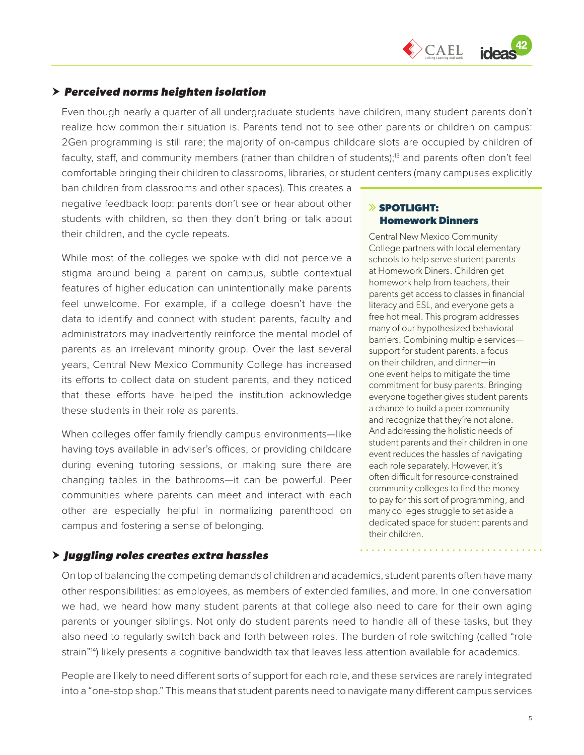

## <span id="page-4-0"></span>*Perceived norms heighten isolation*

Even though nearly a quarter of all undergraduate students have children, many student parents don't realize how common their situation is. Parents tend not to see other parents or children on campus: 2Gen programming is still rare; the majority of on-campus childcare slots are occupied by children of faculty, staff, and community members (rather than children of students);<sup>[13](#page-7-0)</sup> and parents often don't feel comfortable bringing their children to classrooms, libraries, or student centers (many campuses explicitly

ban children from classrooms and other spaces). This creates a negative feedback loop: parents don't see or hear about other students with children, so then they don't bring or talk about their children, and the cycle repeats.

While most of the colleges we spoke with did not perceive a stigma around being a parent on campus, subtle contextual features of higher education can unintentionally make parents feel unwelcome. For example, if a college doesn't have the data to identify and connect with student parents, faculty and administrators may inadvertently reinforce the mental model of parents as an irrelevant minority group. Over the last several years, Central New Mexico Community College has increased its efforts to collect data on student parents, and they noticed that these efforts have helped the institution acknowledge these students in their role as parents.

When colleges offer family friendly campus environments—like having toys available in adviser's offices, or providing childcare during evening tutoring sessions, or making sure there are changing tables in the bathrooms—it can be powerful. Peer communities where parents can meet and interact with each other are especially helpful in normalizing parenthood on campus and fostering a sense of belonging.

## **SPOTLIGHT: Homework Dinners**

Central New Mexico Community College partners with local elementary schools to help serve student parents at Homework Diners. Children get homework help from teachers, their parents get access to classes in financial literacy and ESL, and everyone gets a free hot meal. This program addresses many of our hypothesized behavioral barriers. Combining multiple services support for student parents, a focus on their children, and dinner—in one event helps to mitigate the time commitment for busy parents. Bringing everyone together gives student parents a chance to build a peer community and recognize that they're not alone. And addressing the holistic needs of student parents and their children in one event reduces the hassles of navigating each role separately. However, it's often difficult for resource-constrained community colleges to find the money to pay for this sort of programming, and many colleges struggle to set aside a dedicated space for student parents and their children.

## *Juggling roles creates extra hassles*

On top of balancing the competing demands of children and academics, student parents often have many other responsibilities: as employees, as members of extended families, and more. In one conversation we had, we heard how many student parents at that college also need to care for their own aging parents or younger siblings. Not only do student parents need to handle all of these tasks, but they also need to regularly switch back and forth between roles. The burden of role switching (called "role strain"<sup>14</sup>) likely presents a cognitive bandwidth tax that leaves less attention available for academics.

People are likely to need different sorts of support for each role, and these services are rarely integrated into a "one-stop shop." This means that student parents need to navigate many different campus services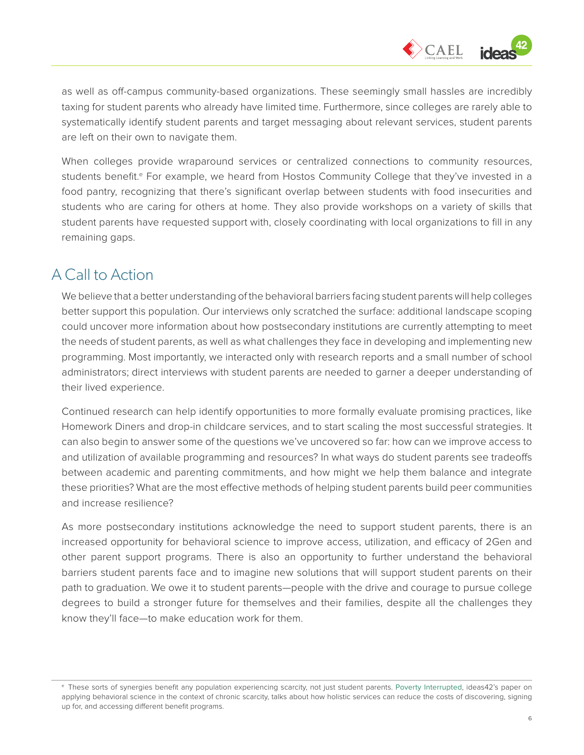

as well as off-campus community-based organizations. These seemingly small hassles are incredibly taxing for student parents who already have limited time. Furthermore, since colleges are rarely able to systematically identify student parents and target messaging about relevant services, student parents are left on their own to navigate them.

When colleges provide wraparound services or centralized connections to community resources, students benefit.<sup>e</sup> For example, we heard from Hostos Community College that they've invested in a food pantry, recognizing that there's significant overlap between students with food insecurities and students who are caring for others at home. They also provide workshops on a variety of skills that student parents have requested support with, closely coordinating with local organizations to fill in any remaining gaps.

# A Call to Action

We believe that a better understanding of the behavioral barriers facing student parents will help colleges better support this population. Our interviews only scratched the surface: additional landscape scoping could uncover more information about how postsecondary institutions are currently attempting to meet the needs of student parents, as well as what challenges they face in developing and implementing new programming. Most importantly, we interacted only with research reports and a small number of school administrators; direct interviews with student parents are needed to garner a deeper understanding of their lived experience.

Continued research can help identify opportunities to more formally evaluate promising practices, like Homework Diners and drop-in childcare services, and to start scaling the most successful strategies. It can also begin to answer some of the questions we've uncovered so far: how can we improve access to and utilization of available programming and resources? In what ways do student parents see tradeoffs between academic and parenting commitments, and how might we help them balance and integrate these priorities? What are the most effective methods of helping student parents build peer communities and increase resilience?

As more postsecondary institutions acknowledge the need to support student parents, there is an increased opportunity for behavioral science to improve access, utilization, and efficacy of 2Gen and other parent support programs. There is also an opportunity to further understand the behavioral barriers student parents face and to imagine new solutions that will support student parents on their path to graduation. We owe it to student parents—people with the drive and courage to pursue college degrees to build a stronger future for themselves and their families, despite all the challenges they know they'll face—to make education work for them.

<sup>e</sup> These sorts of synergies benefit any population experiencing scarcity, not just student parents. [Poverty Interrupted](http://www.ideas42.org/wp-content/uploads/2015/05/I42_PovertyWhitePaper_Digital_FINAL-1.pdf), ideas42's paper on applying behavioral science in the context of chronic scarcity, talks about how holistic services can reduce the costs of discovering, signing up for, and accessing different benefit programs.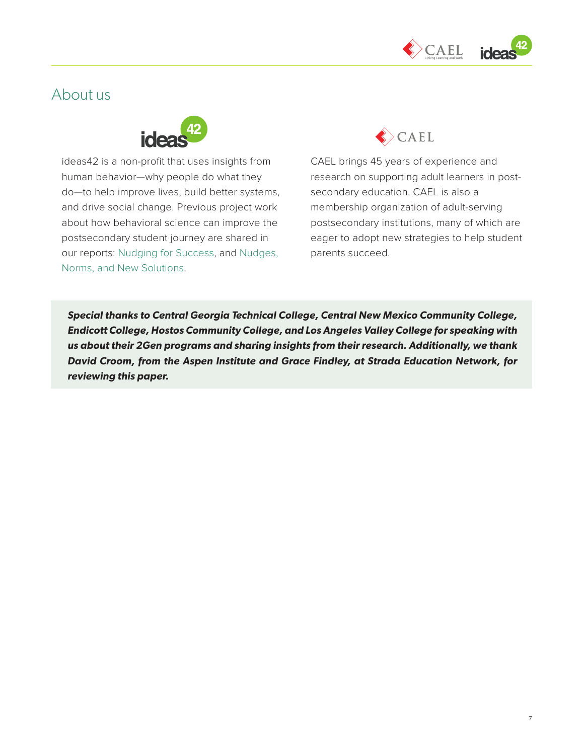

# About us



ideas42 is a non-profit that uses insights from human behavior—why people do what they do—to help improve lives, build better systems, and drive social change. Previous project work about how behavioral science can improve the postsecondary student journey are shared in our reports: [Nudging for Success,](https://www.ideas42.org/wp-content/uploads/2016/09/Nudging-For-Success-FINAL.pdf) and [Nudges,](http://www.ideas42.org/wp-content/uploads/2018/05/NudgesNormsNewSolutions.pdf)  [Norms, and New Solutions.](http://www.ideas42.org/wp-content/uploads/2018/05/NudgesNormsNewSolutions.pdf)



CAEL brings 45 years of experience and research on supporting adult learners in postsecondary education. CAEL is also a membership organization of adult-serving postsecondary institutions, many of which are eager to adopt new strategies to help student parents succeed.

*Special thanks to Central Georgia Technical College, Central New Mexico Community College, Endicott College, Hostos Community College, and Los Angeles Valley College for speaking with us about their 2Gen programs and sharing insights from their research. Additionally, we thank David Croom, from the Aspen Institute and Grace Findley, at Strada Education Network, for reviewing this paper.*